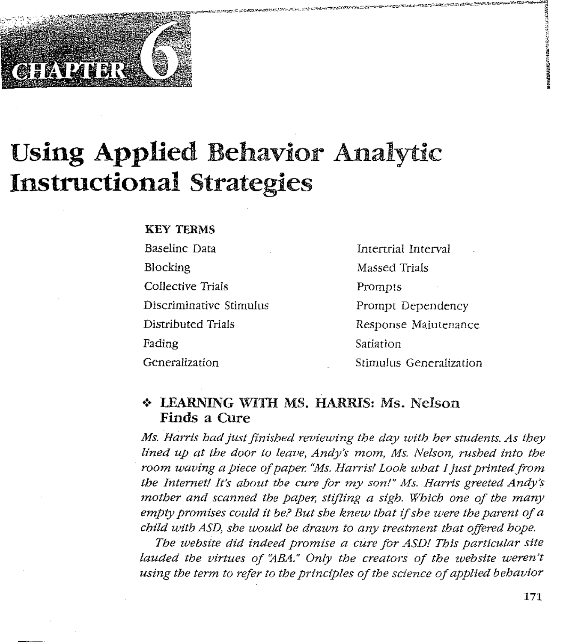# **OFRICARR**

# Using Applied Behavior Analytic Instructional Strategies

## KEY TERMS

Baseline Data Blocking Collective Trials Discriminative Stimulus Distributed Trials Fading Generalization

Intertrial Interval Massed Trials Prompts Prompt Dependency Response Maintenance Satiation Stimulus Generalization

# •!• LEARNING WITII MS. HARRIS: Ms. Nelson Finds a Cure

*Ms. Harris had just flnished reviewing the day with her students. As they lined up at the door to leave, Andy's mom, Ms. Nelson, rushed into the*  room waving a piece of paper. "Ms. Harris! Look what I just printed from *the Internet! It's about the cure for my son!" Ms. Harris greeted Andy's mother and scanned the paper, stifling a sigh. Which one of the many empty promises could it be? But she knew that if she were the parent of a child with ASD, she would be drawn to any treatment that offered hope,* 

*The website did indeed promise a cure for ASD! This particular site*  lauded the virtues of "ABA." Only the creators of the website weren't *using the term to refer to the principles of the science of applied behavior*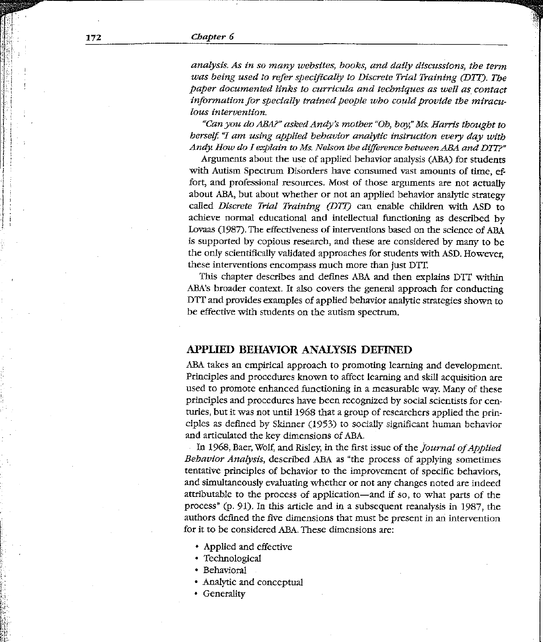#### 172 *Chapter 6*

*analysis. As in so many websites, books, and daily discussions, the term was being used to refer specifically to Discrete Trial Training* (DT7). *Tbe paper documented links to curricula and techniques as well as contact information for specially trained people who could provide the miraculous intervention.* 

*"Can you do ABA?" asked Andy's mother. "Oh, bqy," Ms. Harris thought to herself. '1 am using applied behavior analytic instruction every day with*  Andy. How do I explain to Ms. Nelson the difference between ABA and DTT?"

Arguments about the use of applied behavior analysis (ABA) for students **"With Autism Spectrum Disorders have consumed vast amounts of time,** ef~ **fort, and professional resources. Most of those arguments are not actually**  about ABA, but about whether or not an applied behavior analytic strategy called *Discrete Trial Training* (D17) can enable children with ASD to achieve normal educational and intellectual functioning as described by Lovaas (1987). The effectiveness of interventions based on the science of ABA is supported by copious research, and these are considered by many to be the only scientifically validated approaches for students with ASD. However, **these interventions encompass much more than just DTI.** 

This chapter describes and deflnes ABA and then explains DTT within ABA's broader context. It also covers the general approach for conducting DTT and provides examples of applied behavior analytic strategies shown to **be effective with students on the autism spectrum.** 

# **APPLIED BEHAVIOR ANALYSIS DEFINED**

ABA takes an empirical approach to promoting learning and development. Principles and procedures known to affect learning and skill acquisition are used to promote enhanced functioning in a measurable way. Many of these **principles and procedures have been recognized by social scientists for cen**turies, but it was not until 1968 that a group of researchers applied the principles as defined by Skinner (1953) to socially significant human behavior and articuiated the key dimensions of ABA.

In 1968, Baer, Wolf, and Risley, in the first issue of the *journal of Applied Behavior Analysis,* described ABA as "the process of applying sometimes **tentative principles of behavior to the improvement of specific behaviors,**  and simultaneously evaluating whether or not any changes noted are indeed attributable to the process of application-and if so, to what parts of the process" (p. 91). In this article and in a subsequent reanalysis in 1987, the **authors defined the five dimensions that must be present in an intervention for it to be considered ABA. These dimensions are:** 

- Applied and effective
- Technological
- Behavioral
- Analytic and conceptual
- Generality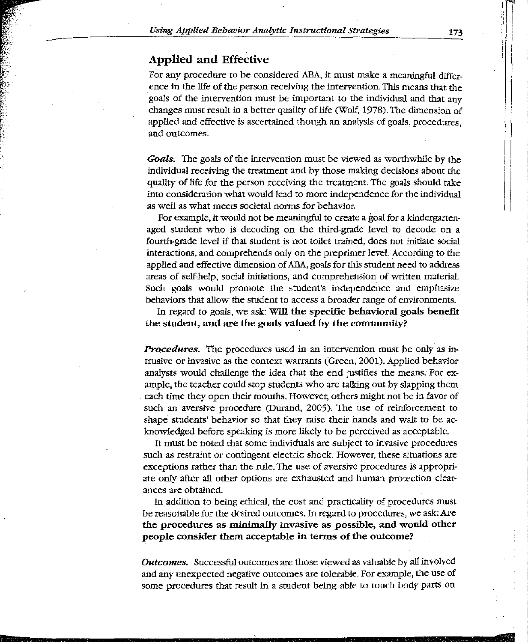# **Applied and** Effective

For any procedure to be considered ABA, it *must* make a meaningful differ**ence in the life of the person receiving the intervention. Tills means that the**  goals of the intervention must be important to the individual and that any changes must result in a better quality of life (Wolf, 1978). The dimension of applied and effective is ascertained though an analysis of goals, procedures, **and outcomes.** 

*Goals.* The goals of the intervention must be viewed as worthwhile by the individual receiving the treatment and by those making decisions about the quality of life for the person receiving the treatment. The goals should take into consideration what would lead to more independence for the individual **as well as what meets societal norms for behavior.** 

For example, it would not be meaningful to create a goal for a kindergartenaged student who is decoding on the third-grade level to decode on a fourth-grade level if that student is not toilet trained, does not initiate social interactions, and comprehends only on the preprimer level. According to the applied and effective dimension of ABA, goals for this student need to address **areas of self-help, social initiations, and comprehension of written material.**  Such goals would promote the student's independence and emphasize **behaviors that allow the student to access a broader range of environments.** 

In regard to goals, we ask: Will the specific behavioral goals benefit the student, and are the goals valued by the community?

*Procedures.* **The procedures used in an intervention must be only as in**trusive or invasive as the context warrants (Green, 2001). Applied behavior analysts would challenge the idea that the end justifies the means. For example, the teacher could stop students who are talking out by slapping them each time they open their mouths. However, others might not be in favor of such an aversive procedure (Durand, 2005). The use of reinforcement to shape students' behavior so that they raise their hands and wait to be acknowledged before speaking is more likely to be perceived as acceptable.

**It must be noted that some individuals are subject to invasive procedures such as restraint or contingent electric shock. However, these situations are**  exceptions rather than the rule. The use of aversive procedures is appropriate only after all other options are exhausted and human protection clear**ances are obtained.** 

In addition to being ethical, the cost and practicality of procedures must **be reasonable for the desired outcomes. In regard to procedures, we ask: Are the procedures as mioimaiJy invasive as possible, and would other**  people consider them acceptable in terms of the outcome?

*Outcomes.* Successful outcomes are those viewed as valuable by all involved **and any unexpected negative outcomes are tolerable. For example, the use of**  some procedures that result In a student being able to touch body parts on

 $\mathbb{H}$  .

 $\parallel$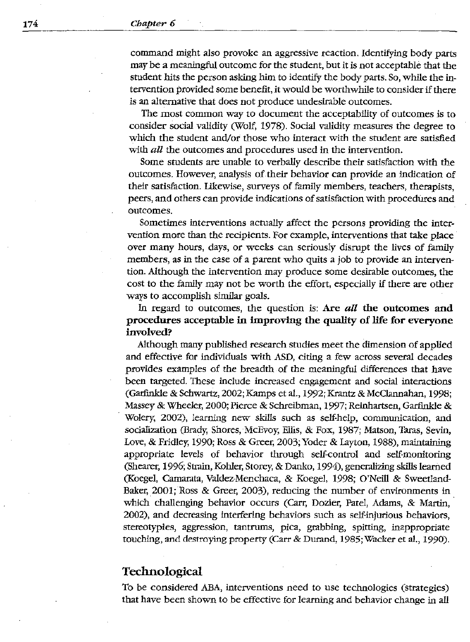command might also provoke an aggressive reaction. Identifying body parts may be a meaningful outcome for the student, but it is not acceptable that the student hits the person asking him to identify the body parts. So, while the intervention provided some benefit, it would be worthwhile to consider if there is an alternative that does not produce undesirable outcomes.

The most common way to document the acceptability of outcomes is to consider social validity (Wolf, 1978). Social validity measures the degree to which the student and/or those who interact with the student are satisfied with *all* the outcomes and procedures used in the intervention.

Some students are unable to verbally describe their satisfaction with the outcomes. However, analysis of their behavior can provide an indication of their satisfaction. Likewise, surveys of family members, teachers, therapists, peers, and others can provide indications of satisfaction with procedures and outcomes.

Sometimes interventions actually affect the persons providing the intervention more than the recipients. For example, interventions that take place over many hours, days, or weeks can seriously disrupt the lives of family members, as in the case of a parent who quits a job to provide an intervention. Although the intervention may produce some desirable outcomes, the cost to the family may not be worth the effort, especially if there are other ways to accomplish similar goals.

In regard to outcomes, the question is: Are *all* the outcomes and procedures acceptable in improving the quality of life for everyone involved?

Although many published research studies meet the dimension of applied and effective for individuals with ASD, citing a few across several decades provides examples of the breadth of the meaningful differences that have been targeted. These include increased engagement and social interactions (Garfinkle & Schwartz, 2002; Kamps et al., 1992; Krantz & McClanoahan, 1998; Massey & Wheeler, 2000; Pierce & Schreibman, 1997; Reinhartsen, Garfinkle & Wolery, 2002), learning new skills such as self-help, communication, and socialization (Brady, Shores; McEvoy, Ellis, & Fox, 1987; Matson, Taras, Sevin, Love, & Fridiey, 1990; Ross & Greer, 2003; Yoder & layton, 1988), maintaining appropriate levels of behavior through self-control and self-monitoring (Shearer, 1996; Strain, Kohler, Storey, & Danko, 1994), generalizing skills learned (Koegel, Camarata, Valdez-Menchaca, & Koegel, 1998; O'Neill & Sweetland-Baker, 2001; Ross & Greer, 2003), reducing the number of environments in. which challenging behavior occurs (Carr, Dozier, Patel, Adams, & Martin, 2002), and decreasing interferiog behaviors such as self-injurious behaviors, stereotypies, aggression, tantrums, pica, grabbing, spitting, inappropriate touching, and destroying property (Carr & Durand, 1985; Wacker et al., 1990).

# Technological

To be considered ABA, interventions need to use technologies (strategies) that have been shown to be effective for learning and behavior change in all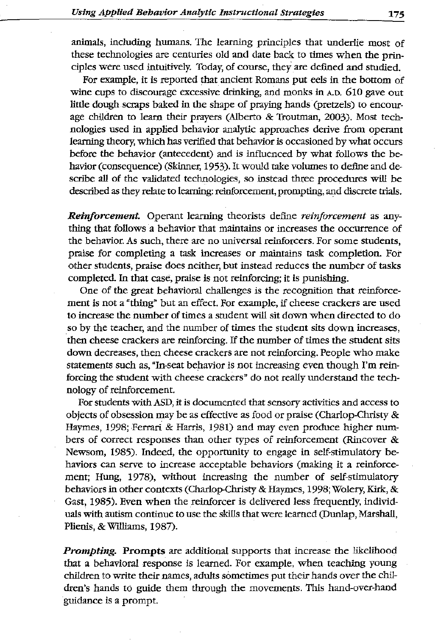animals, including humans. The learning principles that underlie most of these technologies are centuries old and date back to times when the principles were used intuitively. Today, of course, they are defmed and studied.

For example, it is reported that ancient Romans put eels in the bottom of **wine cups to discourage excessive** drinking, **and monks in A.D. 610 gave out**  little dough scraps baked in the shape of praying hands (pretzels) to encourage children to learn their prayers (Alberto & Troutman, 2003). Most technologies used in applied behavior analytic approaches derive from operant learning theory, which has verified that behavior is occasioned by what occurs before the behavior (antecedent) and is influenced by what follows the behavior (consequence) (Skinner, 1953). It would take volumes to define and describe all of the validated techoologies, so instead three procedures will be described as they relate to learning: reinfOrcement, prompting, and discrete trials.

*Reinforcement* Operant learning theorists define *reinforcement* as any**thing that follows a behavior that maintains or increases the occurrence of the behavior. As such, there are no universal reinforcers. For some students,**  praise for completing a task increases or maintains task completion. For other students, praise does neither, but instead reduces the number of tasks completed. In that case, praise is not reinforcing; it is punishing.

One of the great behavioral challenges is the recognition that reinforce**ment is not a "thing" but an effect. For example, if cheese crackers are used**  to increase the number of times a student will sit down when directed to do **so by the teacher, and the number of times the student sits down increases,**  then cheese crackers are reinforcing. If the number of times the student sits **down decreases, then cheese crackers are not reinforcing. People who make**  statements such as, "In-seat behavior is not increasing even though I'm reinforcing the student with cheese crackers" do not really understand the tech**nology of reinforcement.** 

**For students with ASD, it is docwnented that sensory activities and access to**  objects of obsession may be as effective as food or praise (Charlop-Christy & Haymes, 1998; Ferrari & Harris, 1981) and may even produce higher numbers of correct responses than other types of reinforcement (Rincover & Newsom, 1985). Indeed, the opportunity to engage in self-stimulatory be**haviors can serve to increase acceptable behaviors (making it a reinforce**ment; Hung, 1978), without increasing the number of self-stimulatory behaviors in other contexts (Charlop-Christy & Haymes, 1998; Wolery, Kirk, & Gast, 1985). Even when the reinforcer is delivered less frequently, individuals with autism continue to use the skills that were learned (Duniap, Marshall, Plienis, & Wtlliams, 1987).

*Prompting.* Prompts are additional supports that increase the likelihood that a behavioral response is learned. For example, when teaching young children to write their names, adults sometimes put their hands over the children's hands to guide them through the movements. This hand-over-hand guidance is a prompt.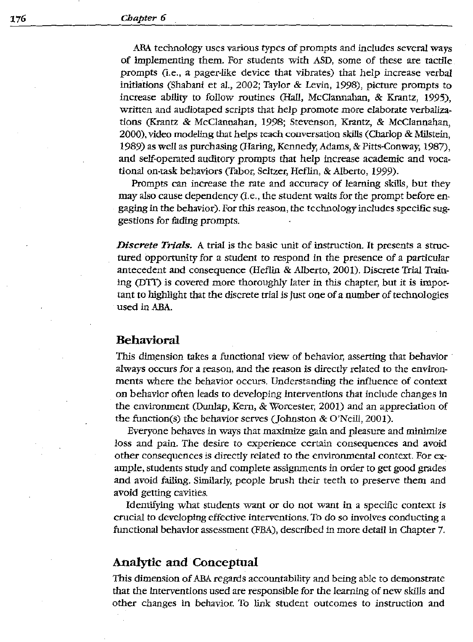ABA technology uses various types of prompts and includes several ways of implementing them. For students with ASD, some of these are tactile prompts (i.e., a pager-like device that vibrates) that help increase verbal initiations (Shabani et a!., 2002; Taylor & Levin, 1998), picture prompts to increase ability to follow routines (Hall, McC!annahan, & Krantz, 1995), written and audiotaped scripts that help promote more elaborate verbalizations (Krantz & McClannahan, 1998; Stevenson, Krantz, & McClannahan, 2000), video modeling that helps teach conversation skills (Charlop & Milstein, 1989) as well as purchasing (Haring, Kennedy, Adams, & Pitts-Conway; 1987), and self-operated auditory prompts that help increase academic and vocational on-task behaviors (Tabor, Seltzer, Heflin, & Alberto, 1999).

Prompts can increase the rate and accuracy of learning skills, but they may also cause dependency (i.e., the student waits for the prompt before engaging in the behavior). For this reason, the technology includes specific suggestions for fading prompts.

*Discrete Trials.* A trial is the basic unit of instruction. It presents a structured opportunity for a student to respond in the presence of a particular antecedent and consequence (Heflin & Alberto, 2001). Discrete Trial Training (DTI) is covered more thoroughly later in this chapter, but it is important to higblight that the discrete trial is just one of a number of technologies used in ABA.

# **Behavioral**

This dimension takes a functional view of behavior, asserting that behavior always occurs for a reason, and the reason is directly related to the environments where the behavior occurs. Understanding the influence of context on behavior often leads to developing interventions that include changes in the environment (Dunlap, Kern, & Worcester, 2001) and an appreciation of the function(s) the behavior serves (Johnston & O'Neili, 2001).

Everyone behaves in ways that maximize gain and pleasure and minimize **loss and pain. The desire to experience certain consequences and avoid**  other consequences is directly related to the environmental context. For example, students study and complete assignments in order to get good grades and avoid falling. Similarly, people brush their teeth to preserve them and **avoid getting cavities.** 

Identifying what students want or do not want in a specific context is crucial to developing effective interventions. To do so involves conducting a functional behavior assessment (FBA), described in more detail in Chapter 7.

# **Analytic and Conceptual**

This dimension of ABA regards accountability and being able to demonstrate that the interventions used are responsible for the learning of new skills and other changes in behavior. To link student outcomes to instruction and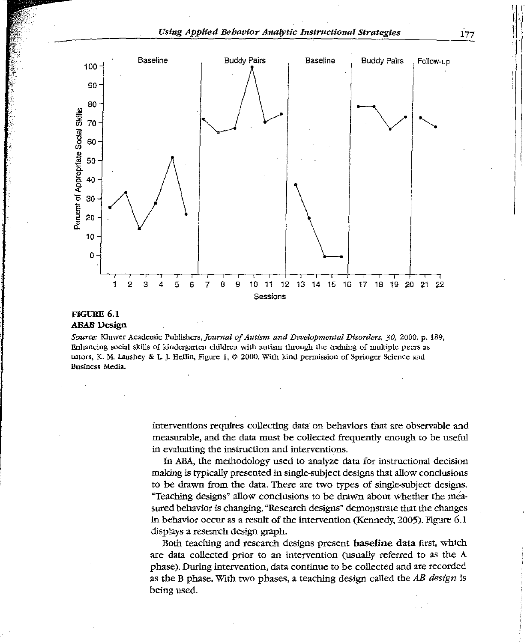#### *Using Applied Behavior Ana{ytic Instructional Strategies*



#### FIGURE 6.1 ABAB Design

*Source:* **Kluwer Academic Publishers,]ournal** *of Autism and Developmental Disorders, 30,* **2000, p. 189, Enhancing social skills of kindergarten children with autism through the training of multiple peers as tutors, K. M. Laushey & L]. Heflin, Figure 1, © 2000. With kind permission of Springer Science and Business Media.** 

> **interventions requires collecting data on behaviors that are observable and**  measurable, and the data must be collected frequently enough to be useful in evaluating the instruction and interventions.

> In ABA, the methodology used to analyze data for instructional decision making is typically presented in single-subject designs that allow conclusions to be drawn from the data. There are rwo types of single-subject designs. "Teaching designs" allow conclusions to be drawn about whether the measured behavior is changing. "Research designs" demonstrate that the changes in behavior occur as a result of the intervention (Kennedy, 2005). Figure 6.1 displays a research design graph.

> Both teaching and research designs present baseline data first, which are data collected prior to an intervention (usually referred to as the A phase). During intervention, data continue to be collected and are recorded as the B phase. With rwo phases, a teaching design called the *AB design* is being used.

177

l

**I** i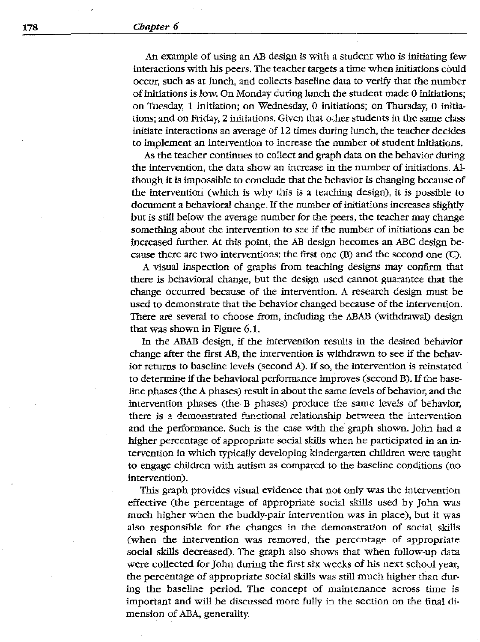#### **178** *Chapter 6*

An example of using an AB design is with a student who is initiating few **interactions** with his peers. The teacher targets a time when initiations could occur, such as at lunch, and collects baseline data to verify that the number of initiations is low. On Monday during lunch the student made 0 initiations; **on Tuesday, 1 initiation; on Wednesday, 0 initiations; on Thursday, 0 initia**tions; and on Friday, 2 initiations. Given that other students in the same class initiate interactions an average *o{* 12 times during lunch, the teacher decides **to implement an intervention to increase the number of student initiations.** 

As the teacher continues to collect and graph data on the behavior during **the intervention, the data show an increase in the number of initiations. Al**though it is impossible to conclude that the behavior is changing because of the intervention (which is why this is a teaching design), it is possible to document a behavioral change. If the number of initiations increases slightly but is still below the average number for the peers, the teacher may change something about the intervention to see if the number of initiations can be increased further. At this point, the AB design becomes an ABC design because there are two interventions: the first one (B) and the second one (C).

A visual inspection of graphs from teaching designs may confirm that there is behavioral change, but the design used cannot guarantee that the change occurred because of the intervention. A research design must be used to demonstrate that the behavior changed because of the intervention. There are several to choose from, including the ABAB (withdrawal) design that was shown in Figure 6.1.

In the ABAB design, if the intervention results in the desired behavior change after the first AB, the intervention is withdrawn to see if the behavior returns to baseline levels (second A). If so, the intervention is reinstated to determine if the behavioral performance improves (second B). If the baseline phases (the A phases) result in about the same levels of behavior, and the intervention phases (the B phases) produce the same levels of behavior, there is a demonstrated functional relationship between the intervention and the performance. Such is the case with the graph shown. ]oho had a higher percentage of appropriate social skills when he participated in an intervention in which typically developing kindergarten children were taught to engage children with autism as compared to the baseline conditions (no intervention).

This graph provides visual evidence that not only was the intervention effective (the percentage of appropriate social skills used by ]oho was much higher when the buddy-pair intervention was in place), but it was also responsible for the changes in the demonstration of social skills **(when the intervention was removed, the percentage of appropriate**  social skills decreased). The graph also shows that when follow-up data were collected for John during the first six weeks of his next school year, the percentage of appropriate social skills was still much higher than dur**ing the baseline period. The concept of maintenance across time is**  important and will be discussed more fully in the section on the final di**mension of ABA, generality.**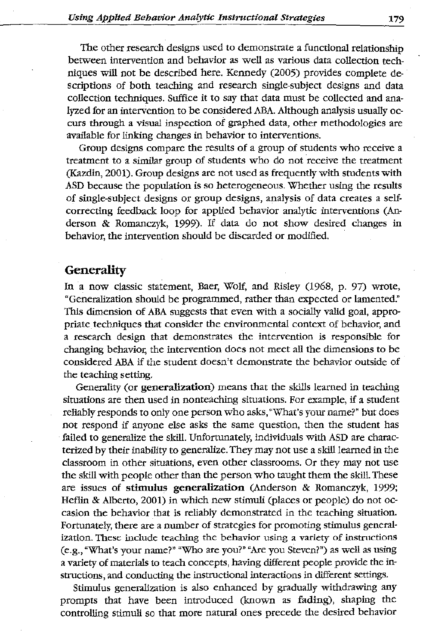The other research designs used to demonstrate a functional relationship **between intervention and behavior as well as various data collection** tech~ niques will not be described here. Kennedy (2005) provides complete descriptions of both teaching and research single-subject designs and data collection techniques. Suffice it to say that data must be collected and analyzed for an intervention to be considered ABA. Although analysis usually oc**curs through a visual inspection of graphed data, other methodologies are**  available for linking changes in behavior to interventions.

Group designs compare the results of a group of students who receive a **treatment to a similar group of students who do not receive the treatment**  (Kazdiu, 2001). Group designs are not used as frequently with students with ASD because the population is so heterogeneous. Whether using the results of single-subject designs or group designs, analysis of data creates a selfcorrecting feedback loop for applied behavior analytic interventions (Anderson & Romanczyk, 1999). If data do not show desired changes in behavior, the intervention should be discarded or modified.

# **Generality**

In a now classic statement, Baer, Wolf, and Risley (1968, p. 97) wrote, "Generalization should be programmed, rather than expected or lamented." This dimension of ABA suggests that even with a socially valid goal, appropriate techniques that consider the environmental context of behavior, and **a research design that demonstrates the intervention is responsible for**  changing behavior, the intervention does not meet all the dimensions to be considered ABA if the student doesn't demonstrate the behavior outside of the teaching setting.

Generality (or generalization) means that the skills learned in teaching **situations are then used in nonteaching situations. For example, if a student**  reliably responds to only one person who asks, "What's your name?" but does not respond if anyone else asks the same question, then the student has failed to generalize the skill. Unfortunately, individuals with ASD are characterized by their inability to generalize. They may not use a skill learned in the **classroom in other situations, even other classrooms. Or they may not use**  the skill with people other than the person who taught them the skill. These are issues of stimulus generalization (Anderson & Romanczyk, 1999; Heflin & Alberto, 2001) in which new stimuli (places or people) do not occasion the behavior that is reliably demonstrated in the teaching situation. Fortunately, there are a number of strategies for promoting stimulus genetalization. These include teaching the behavior using a variety of instructions (e.g., "What's your name?" "Who are you?" "Are you Steven?") as well as using a variety of matetials to teach concepts, having different people provide the in**structions, and conducting the instructional interactions in different settings.** 

Stimulus generalization is also enhanced by gradually withdrawing any prompts that have been introduced (known as fading), shaping the controlling stimuli so that more natural ones precede the desired behavior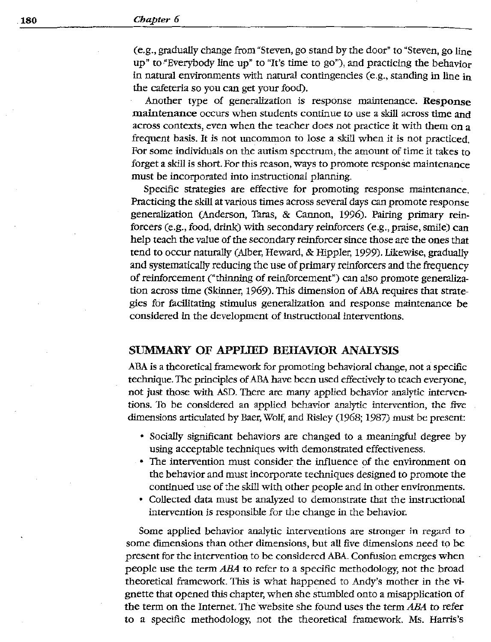(e.g., gradually change from "Steven, go stand by tbe door" to "Steven, go line up" to •Everybody line up" to "It's time to go"), and practicing the behavior **in natural environments with natural contingencies (e.g .. standing in line in**  tbe cafeteria so you can get your food).

**Another type of generalization is response maintenance. Response maintenance occurs when students continue to use a skill across time and across contexts, even when the teacher does not practice it with them on a frequent basis. It is not uncommon to lose a skill when** *it* **is not practiced. For some individuals on the autism spectrum, the amount of time it takes to**  forget a skill is short. For this reason, ways to promote response maintenance must be incorporated into instructional planning.

**Specific strategies are effective for promoting response maintenance. Practicing the skill at various times across several days can promote response**  generalization (Anderson, Taras, & Cannon, 1996). Pairing primary reinforcers (e.g., food, drink) with secondary reinforcers (e.g., praise, smile) can help teach the value of the secondary reinforcer since those are the ones that tend to occur naturally (Alber, Heward, & Hippler, 1999). likewise, gradually and systematically reducing tbe use of primary reinforcers and the frequency of reinforcement ("thinning of reinforcement") can also promote generalization across time (Skinner, 1969). *This* dimension of ABA requires tbat strategies for tacilitating stimulus generallzation and response maintenance be **considered in the development of instructional interventions.** 

# SUMMARY OF APPLIED BEHAVIOR ANALYSIS

ABA is a tbeoretical framework for promoting behavioral change, not a specific technique. The principles of ABA have been used effectively to teach everyone, not just tbose witb ASD. There are many applied behavior analytic interventions. To be considered an applied behavior analytic intervention, tbe five dimensions articulated by Baer, Wolf, and Risley (1968; 1987) must be present:

- Socially significant behaviors are changed to a meaningful degree by using acceptable techniques with demonstrated effectiveness.
- **The intervention must consider the influence of the environment on**  tbe behavior and must incorporate techniques designed to promote the **continued use of the skill with other people and in other environments.**
- Collected data must be analyzed to demonstrate that the instructional intervention is responsible for the change in the behavior.

**Some applied behavior analytic interventions are stronger in regard to some dimensions than other dimensions, but all five dimensions need to be present for the intervention to be considered ABA. Confusion emerges when**  people use tbe term *ABA* to refer to a specific metbodology, not tbe broad tbeoretical framework. This is what happened to Andy's motber in the vignette that opened this chapter, when she stumbled onto a misapplication of the term on tbe Internet. The website she found uses the term *ABA* to refer to a specific methodology, not the theoretical framework. Ms. Harris's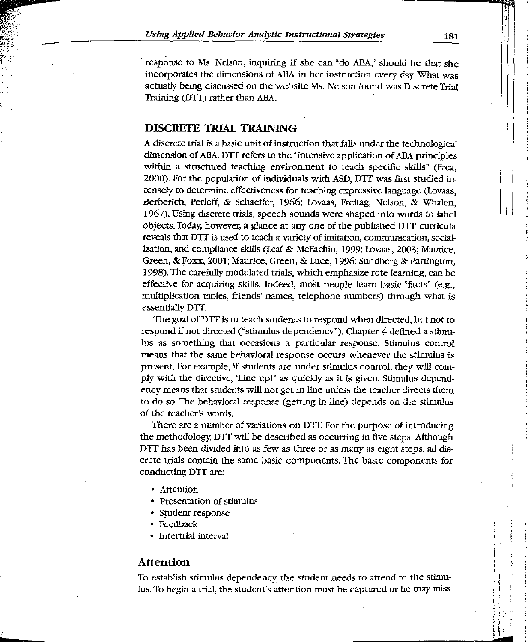response to Ms. Nelson, inquiring if she can "do ABA;' should be that she incorporates the dimensions of ABA in her instruction every day. What was actually being discussed on the website Ms. Nelson found was Discrete Trial Training (DTI) rather than ABA.

# **DISCRETE TRIAL TRAINING**

A discrete trial is a basic unit of instruction that falls under the technological dimension of ABA. DTT refers to the "intensive application of ABA principles within a structured teaching environment to teach specific skills" (Frea, 2000). For the population of individuals with ASD, DTT was first studied intensely to determine effectiveness for teaching expressive language (Lovaas, Berberich, Perloff, & Schaeffer, 1966; Lovaas, Freitag, Nelson, & Whalen, 1967). Using discrete trials, speech sounds were shaped into words to label objects. Today, however, a giance at any one of the published DTT curricula reveals that DTT is used to teach a variety of imitation, communication, socialization, and compliance skills (Leaf & McEachin, 1999; Lovaas, 2003; Maurice, Green, & Foxx, 2001; Maurice, Green, & Luce, 1996; Sundberg & Partington, 1998). The carefully modulated trials, which emphasize rote learning, can be effective for acquiring skills. Indeed, most people learn basic "facts" (e.g., multiplication tables, friends' names, telephone numbers) through what is essentially DIT.

The goal of DTT is to teach students to respond when directed, but not to respond if not directed ("stimulus dependency"). Chapter 4 defined a stimulus as something that occasions a particular response. Stimulus control **means that the same behavioral response occurs whenever the stimulus is**  present. For example, if students are under stimulus control, they will comply with the directive, "Line up!" as quickly as it is given. Stimulus dependency means that students will not get in line unless the teacher directs them **to do so. The behavioral response (getting in line) depends on the stimulus**  of the teacher's words.

There are a number of variations on DTT For the purpose of introducing the methodology. DTT will be described as occurring in five steps. Although DTT has been divided into as few as three or as many as eight steps, all dis**crete trials contain the same basic components. The basic components for**  conducting DTT are:

- Attention
- **Presentation of stimulus**
- Student response
- Feedback
- lntertrial interval

#### **Attention**

To establish stimulus dependency. the student needs to attend to the stimulus. To begin a trial, the student's attention must be captured or he may miss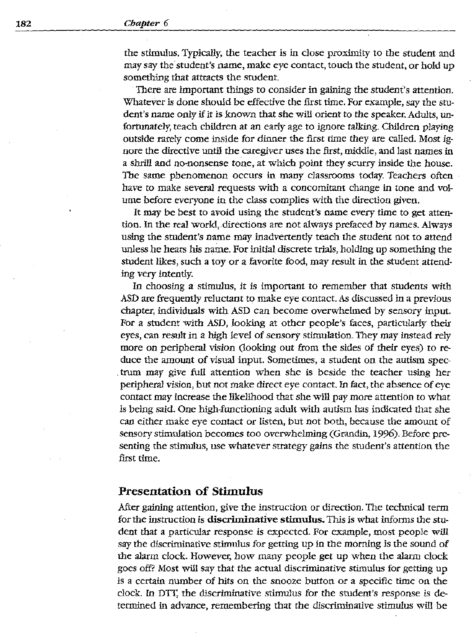the stimulus. Typically; the teacher is in close proximity to the student and may say the student's name, make eye contact, touch the student, or hold up something that attracts the student.

There are important things to consider in gaining the student's attention. Whatever is done should be effective the first time. For example, say the student's name oniy if it is known that she will orient to the speaker. Adults, unfortunately, teach children at an early age to ignore talking. Children playing outside rarely come inside for dinner the first rime they are called. Most ignore the directive until the caregiver uses the first, ntiddie, and last names in a shrill and no-nonsense tone, at which point they scurry inside the house. The same phenomenon occurs in many classrooms today. Teachers often have to make several requests with a concomitant change in tone and volume before everyone in the class complies with the direction given.

It may be best to avoid using the student's name every time to get attention. In the real world, directions are not always prefaced by names. Always using the student's name may inadvertently teach the student not to attend unless he hears his name. For initial discrete trials, holding up something the student likes, such a toy or a favorite food, may result in the student attending very intently.

In choosing a stimulus, it is important to remember that students with ASD are frequently reluctant to make eye contact. As discussed in a previous chapter, individuals with ASD can become overwheimed by sensory input. For a student with ASD, looking at other people's faces, particularly their eyes, can *result* in a high level of sensory stimulation. They may instead rely more on peripheral vision (looking out from the sides of their eyes) to reduce the amount of visual input. Sometimes, a student on the autism spec- . trum may give full attention when she is beside the teacher using her peripheral vision, but not make direct eye contact. In fact, the absence of eye contact may increase the likelihood that she will pay more attention to what is being said. One high-functioning adult with autism has indicated that she **can either make eye contact or listen, but not both, because the amount of**  sensory stimulation becomes too overwhelming (Grandin, 1996). Before presenting the stimulus, use whatever strategy gains the student's attention the first time.

#### **Presentation of Stimulus**

After gaining attention, give the instruction or direction. The technical term for the instruction is discriminative stimulus- This is what informs the student that a particular response is expected. For example, most people will say the disctiminative stimulus for getting up in the morning is the sound of the alarm clock. However, how many people get up when the alarm clock goes oft? Most will say that the actual discriminative stimulus for getting up is a certain number of hits on the snooze button or a specific time on the dock. In DIT, the discriminative stimulus for the student's response is deterntined in advance, remembering that the discriminative stimulus will be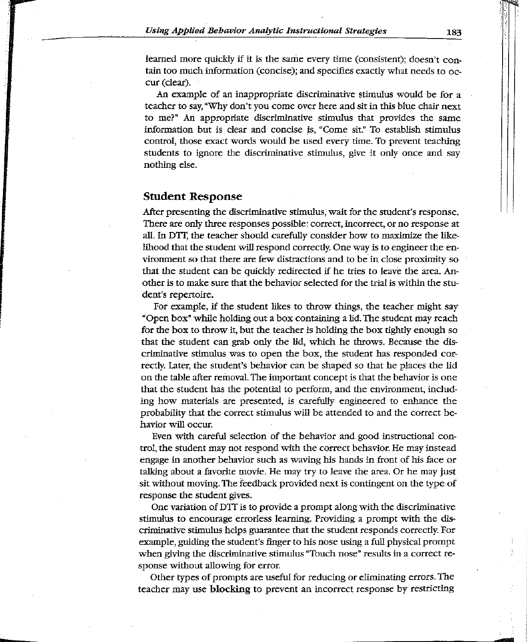**learned more quickly if it is the same every time (consistent); doesn't con**tain too much information (concise); and specifies exactly what needs to occur (clear).

An example of an inappropriate discriminative stimulus would be for a teacber to say, "Why don't you come over here and sit in this blue chair next to me?" An appropriate discriminative stimulus that provides the same information but is clear and concise js, "Come sit." To establish stimulus control, those exact words would be used every time. To prevent teaching students to ignore the discriminative stimulus, give it only once and say nothing else.

#### **Student Response**

**After presenting the discriminative stimulus, wait for the student's response. There are only three responses possible: correct, incorrect, or no response at**  all. in DTT, the teacber should carefully consider how to maximize the likelihood that the student will respond correctly. One way is to engineer the en**vironment so that there are few distractions and to be in close proximity so**  that the student can be *quickly* redirected if he tries to leave the area. Another is to make sure that the behavior selected for the trial is within the student's repertoire.

For example, if the student likes to throw things, the teacher might say "Open box" while holding out a box containing a lid. The student may reacb for the box to throw it, but the teacher is holding the box tightly enough so that the student can grab only the lid, whlcb he throws. Because the dis**criminative stimulus was to open the box, the student has responded cor**rectly. Later, the student's behavior can be shaped so that he places the lid **on the table after removal. The important concept is that the behavior is one**  that the student has the potential to perform, and the environment, includ-**LET** how materials are presented, is carefully engineered to enhance the probability that the correct stimulus will be attended to and the correct be**havior will occur.** 

**Even with careful selection of the behavior and good instructional con**trol, the student may not respond with the correct behavior. He may instead **engage in another behavior such as waving his hands in front of his face or**  talking about a favorite movie. He may try to leave the area. Or he may just sit without moving. The feedback provided next is contingent on the type of response the student gives.

One variation of DTT is to provide a prompt along with the discriminative **stimulus to encourage errorless learning. Providing a prompt with the dis**criminative stimulus helps goarantee that the student responds correctly. For example, guiding the student's finger to his nose using a full physical prompt **when giving the discriminative stimulus "Touch nose" results in a correct response without allowing for error.** 

Other types of prompts are useful for reducing or eliminating errors. The teacher may use blocking to prevent an incorrect response by restricting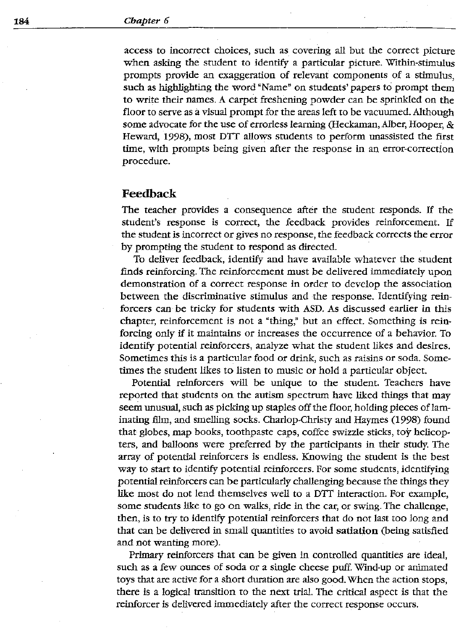**access to incorrect choices, such as covering all but the correct picture**  when asking the student to identify a particular picture. Within-stimulus **prompts provide an exaggeration of relevant' components of a stimulus,**  such as highlighting the word "Name" on students' papers to prompt them to write their names. A carpet freshening powder can be sprinkled on the floor to serve as a visual prompt for the areas left to be vacuumed. Although **some advocate for the use of errorless learning (Heckaman, Alber, Hooper,** & Heward, 1998), most DTT allows students to perform unassisted the first **time, with prompts being given after the response in an error-correction**  procedure.

# **Feedback**

The teacher provides a consequence after the student responds. If the **student's response is correct, the feedback provides reinforcement. If the student is incorrect or gives no response, the feedback corrects the error**  by prompting the student to respond as directed.

To deliver feedback, identify and have available whatever the student finds reinforcing. The reinforcement must be delivered immediately upon **demonstration of a correct response in order to develop the association**  between the discriminative stimulus and the response. Identifying reinforcers can be tricky for students with ASD. As discussed earlier in this chapter, reinforcement is not a "thing," but an effect. Something is rein**forcing only if it maintains or increases the occurrence of a behavior. To**  identify potential reinforcers, analyze what the student likes and desires. **Sometimes this is a particular food or drink, such as raisins or soda. Some**times the student likes to listen to music or hold a particular object.

Potential reinforcers will be unique to the student. Teachers have reported that students on the autism spectrum have liked things that may seem unusual, such as picking up staples off the floor, holding pieces of laminating film, and smelling socks. Charlop-Christy and Haymes (1998) found that globes, map books, toothpaste caps, coffee swizzle sticks, toy helicopters, and balloons were preferred by the participants in their study. The **array of potential reinforcers is endless. Knowing the student is the best**  way to start to identify potential reinforcers. For some students, identifying potential reinforcers can be particularly challenging because the things they like most do not lend themselves well to a DTT interaction. For example, some students like to go on walks, ride in the car, or swing. The challenge, then, is to try to identify potential reinforcers that do not last too long and that can be delivered in small quantities to avoid satiation (being satisfied **and not wanting more).** 

Primary reinforcers that can be given in controlled quantities are ideal, such as a few ounces of soda or a singie cheese puff. Wmd-up or animated toys that are active for a short duration are also good. When the action stops, there is a logical transition to the next trial. The critical aspect is that the **reinforcer is delivered immediately after the correct response occurs.**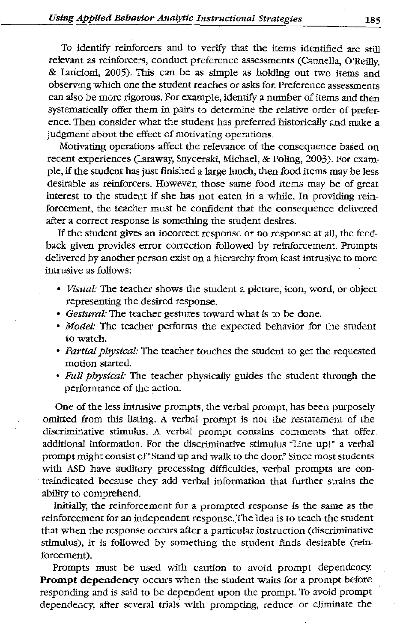To identify reinforcers and to verify that the items identified are still **relevant as reinforcers, conduct preference assessments (Cannella, O'Reilly,**  & Laricioni, 2005). This can be as simple as holding out two items and **observing which one the student reaches or asks for. Preference assessments**  can also be more rigorous. For example, identify a number of items and then systematically offer them in pairs to determine the relative order of preference. Then consider what the student has preferred historically and make a **judgment about the effect of motivating operations.** 

Motivating operations affect the relevance of the consequence based on recent experiences (Laraway, Snycerski, Michael, & Poling, 2003). For example, if the student has just finished a large lunch, then food items may be less desirable as reinforcers. However, those same food items may be of great interest to the student if she has not eaten in a while. In providing reinforcement, the teacher must be confident that the consequence delivered **after a correct response is something the stuqent desires.** 

**If the student gives an incorrect response\_ or no response at all, the feed**back given provides error correction followed by reinforcement. Prompts delivered by another person exist on a hierarchy from least intrusive to more **intrusive as follows:** 

- *Visual:* **The teacher shows the student a picture, icon, word, or object representing the desired response.**
- *Gestural:* The teacher gestures toward what ls to be done.
- *Model:* The teacher performs the expected behavior for the student to watch.
- *Partial physical:* The teacher touches the student to get the requested **motion started.**
- *Full physical·* The teacher physically guides the student through the **perlormance of the action.**

One of the less intrusive prompts, the verbal prompt, has been purposely **omitted from this listing. A verbal prompt is not the restatement of the discriminative stimulus. A verbal prompt contains comments that offer**  additional information. For the discriminative stimulus "line up!" a verbal prompt might consist of"Stand up and walk to the door." Since most students with ASD have auditory processing difficulties, verbal prompts are con· traindicated because they add verbal information that further strains the ability to comprehend.

**Initially, the reinforcement for a prompted response is the same as the reinforcement for an independent response .. The idea is to teach the student that when the response occurs after a particular instruction (discriminative stimulus), it is followed by something the student flnds desirable (rein**forcement).

Prompts must be used with caution to avoid prompt dependency. Prompt dependency occurs when the student waits for a prompt before responding and is said to be dependent upon the prompt. To avoid prompt dependency, after several trials with prompting, reduce or eliminate the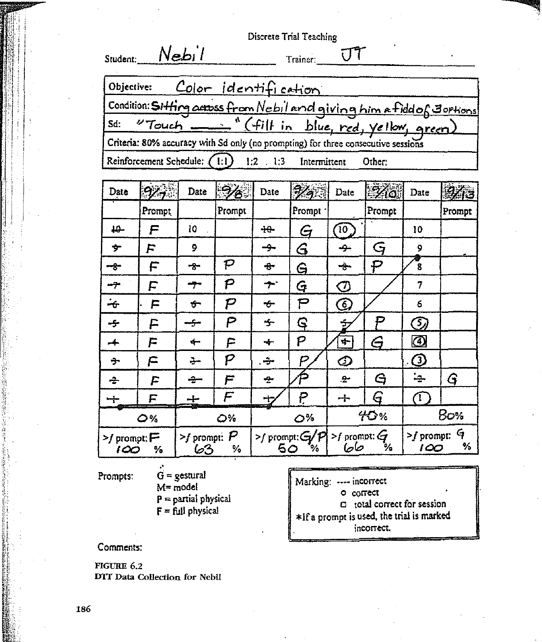| Discrete Trial Teaching |                                                                                   |  |  |          |        |  |  |  |  |  |  |
|-------------------------|-----------------------------------------------------------------------------------|--|--|----------|--------|--|--|--|--|--|--|
|                         | $Sudent$ $Nebi$                                                                   |  |  | Trainer: |        |  |  |  |  |  |  |
|                         | Objective: Color identification                                                   |  |  |          |        |  |  |  |  |  |  |
|                         | Condition: Sitting across from Nebil and giving him a fidd of Joptions            |  |  |          |        |  |  |  |  |  |  |
| Sd:                     | "Touch _ " (fill in blue, red, yellow, green)                                     |  |  |          |        |  |  |  |  |  |  |
|                         | Criteria: 80% accuracy with Sd only (no prompting) for three consecutive sessions |  |  |          |        |  |  |  |  |  |  |
|                         | Reinforcement Schedule: $(1:1)$ 1:2 . 1:3 Intermittent                            |  |  |          | Other: |  |  |  |  |  |  |

| Date                                          | 97.3                | Date                             | 3/6    | Date                                        | <u>Wa</u> | Date                    | $\overline{\mathscr{U}}_0$ | Date                          | <b>2213</b> |  |
|-----------------------------------------------|---------------------|----------------------------------|--------|---------------------------------------------|-----------|-------------------------|----------------------------|-------------------------------|-------------|--|
|                                               | Prompt <sub>.</sub> |                                  | Prompt |                                             | Prompt    |                         | Prompt                     |                               | Prompt      |  |
| 10                                            | F                   | 10                               |        | +⊕-                                         | G         | 10]                     |                            | 10                            |             |  |
| 字                                             | F                   | 9                                |        | $\rightarrow$                               | G         | ÷                       | G                          | 9                             |             |  |
| ⊸⊱                                            | F                   | $-8-$                            | P      | ♣                                           | Ġ         | حود                     | $\boldsymbol{\varphi}$     | 8                             |             |  |
| -7                                            | F                   | ┯                                | P      | $\boldsymbol{\tau}$                         | G         | $\oslash$               |                            | 7                             |             |  |
| $\div$                                        | F                   | ᠊ᡩᢇ                              | P      | $-6-$                                       | P         | ⊙                       |                            | 6                             |             |  |
| جهد                                           | F                   | سركيت                            | P      | 子                                           | G         | ÷,                      |                            | ලා                            |             |  |
| ◢                                             | F                   | ↞                                | F      | ≁                                           | P         | $\overline{\mathbf{r}}$ | G                          | $\textcircled{1}$             |             |  |
| ታ                                             | F                   | →                                | P      | . پ                                         | P.        | $\mathcal{Q}$           |                            |                               |             |  |
| ÷                                             | F                   | $\div$                           | F      | -2-                                         |           | $\mathbf{r}$            | G                          | جا                            | G           |  |
| $-$                                           | F                   | ┿                                | F      | ∸†⊐                                         | P         | ᆠ                       | G                          | $\sigma$                      |             |  |
| 0%                                            |                     | 0%                               |        | O <sup>3</sup>                              |           | 40%                     |                            | 80%                           |             |  |
| $>$ prompt; $\blacktriangleright$<br>100<br>℅ |                     | $\geq f$ prompt: $P$<br>جھا<br>% |        | >f prompt: $G/P$ >f prompt: $G$<br>%′<br>50 |           | حاجا<br>℀               |                            | 9<br>$>f$ prompt:<br>%<br>100 |             |  |
|                                               |                     |                                  |        |                                             |           |                         |                            |                               |             |  |

Prompts:

- ..  $G =$  gestural M=model
- $P =$  partial physical F = full physical

Marking: ---- incorrect o correct CJ total correct for session \*If a prompt is used, the trial is marked incorrect.

Comments:

FIGURE 6.2 DIT Data Collection for Nebil

!'J

:;··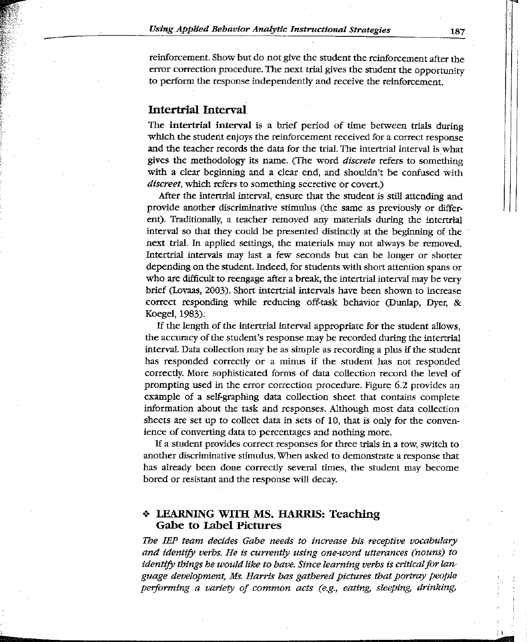reinforcement. Show but do not give the student the reinforcement after the error correction procedure. The next trial gives the student the opportunity **to perform the response independently and receive the reinforcement.** 

# **Intertrial Interval**

*r r <i>r*<br>*r*<br>*r*<br>*r*<br>*r* 

?-: ii:-

> The **intertrial interval** is a brief period of time between trials during **which the student enjoys the reinforcement received for a correct response**  and the teacher records the data for the trial. The intertrial interval is what gives the methodology its name. (The word *discrete* refers to something with a clear beginning and a clear end, and shouldn't be confused with *discreet,* **which refers to something secretive or covert.)**

> After the intertrial interval, ensure that the student is still attending and provide another discriminative stimulus (the same as previously or different). Traditionally, a teacher removed any materials during the intertrial interval so that they could be presented distinctly at the beginning of the next trial. In applied settings, the materials may not always be removed. Intertrial intervals may last a few seconds but can be longer or shorter depending on the student. Indeed, for students with short attention spans or who are difficult to reengage after a break, the intertrial interval may be very brief (Lovaas, 2003). Short intertrial intervals have been shown to increase correct responding while reducing off-task behavior (Dunlap, Dyer, & Koegel, 1983);

> 1f the length of the intertrial interval appropriate for the student allows, the accuracy of the student's response may be recorded during the intertrial interval. Data collection may be as simple as recording a plus if the student has responded correctly or a minus if the student has not responded correctly. More sophisticated forms of data collection record the level of prompting used in the error correction procedure. Figure 6.2 provides an example of a self-graphing data collection sheet that contains complete information about the task and responses. Although most data collection sheets are set up to collect data in sets of 10, that is only for the convenience of converting data to percentages and nothing more.

> **If a student provides correct responses for three trials in a row, switch to another discriminative stimulus. When asked to demonstrate a response that**  has already been done correctly several times, the student may become bored or resistant and the response will decay.

# •> **LEARNING WITII MS. HARRIS: Teaching Gabe to Label Pictures**

*The IEP team decides Gabe needs to increase his receptive vocabulary and identify verbs. He is currently using one-word utterances (nouns) to identify things he would like to have. Since learning verbs is critical for language development, Ms. Harris has gathered pictures that portray people peiforming a variety of common acts (e.g., eating, sleeping, drinking,* 

 $\mathbb{H}_+$ I.

**:I**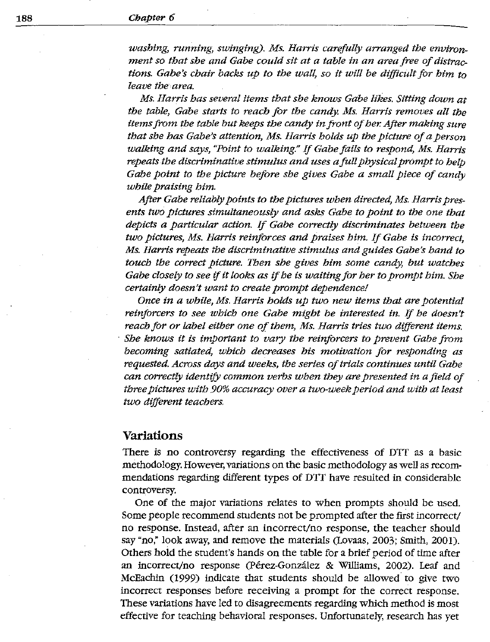*washing, running, swinging). Ms. Harris carefully arranged the environment so that she and Gabe could sit at a table in an area free of distractions. Gabe's chair backs up to the* wal~ *so it will be difficult for him to leave the area.* 

*Ms. Harris bas several items that she knows Gabe likes. Sitting down at the table, Gabe starts to reach jbr the candy. Ms. Harris removes all the items from the table but keeps the candy in front of her. After making sure that she has Gabe's attention, Ms. Harris holds up the picture of a person walking and says, "Point to walking."* If *Gabe Jails to respond, Ms. Harris repeats the discriminative stimulus and uses a full physical prompt to help Gabe point to the picture before she gives Gabe a small piece of candy while praising him.* 

*After Gabe reliably points to the pictures when directed, Ms. Harris presents two pictures simultaneously and asks Gabe to point to the one that depicts a particular action.* If *Gabe correctly discriminates between the two pictures, Ms. Harris reinforces and praises him. If Gabe is Incorrect, Ms. Harris repeats the discriminative stimulus and guides Gabe's hand to touch the correct picture. Then she gives him some candy, but watches Gabe closely to see* if *it looks as* if *be is waiting for her to prompt him. She certainly doesn't want to create prompt dependence!* 

*Once in a while, Ms. Harris holds up two new items that are potential reinforcers to see which one Gabe might be interested in.* If *he doesn't reach for or label either one of them, Ms. Harris tries two different items.*  · *She knows it is important to vary the reinforcers to prevent Gabe from becoming satiated, which decreases his motivation for responding as requested. Across days and weeks, the series of trials continues until Gabe can correctly Identify common verbs when they are presented in a field of three pictures with 90% accuracy over a two-week period and with at least two different teachers.* 

#### **Variations**

**There is no controversy regarding the effectiveness of DIT as a basic methodology. However, variations on the basic methodology as well as recom**mendations regarding different types of DTI have resulted in considerable **controversy.** 

One of the major variations relates to when prompts should be used. Some people recommend students not be prompted after the frrst incorrect/ **no response. Instead, after an incorrect/no response, the teacher should**  say "no," look away, and remove the materials (Lovaas, 2003; Smith, 2001). Others hold the student's hands on the table for a brief period of time after an incorrect/no response (Perez-Gonzilez & Williams, 2002). Leaf and McEachin (1999) indicate that students should be allowed to give two **incorrect responses before receiving a prompt for the correct response.**  These variations have led to disagreements regarding which method is most effective for teaching behavioral responses. Unfortunately, research has yet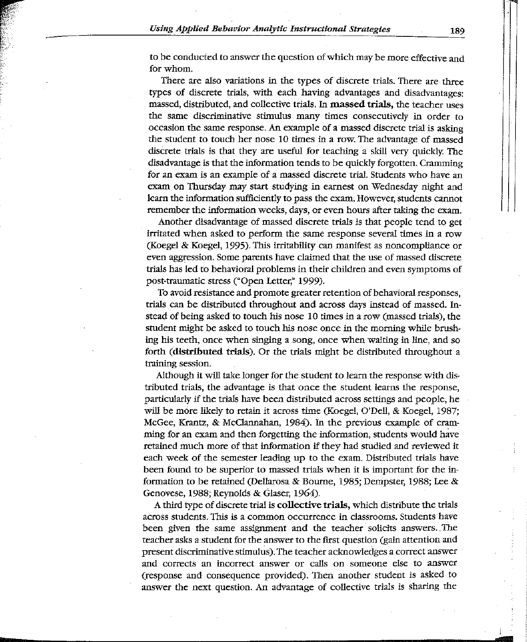r ...<br>1995 - Paul Barnett, amerikanischer Kanades (ö. 1995)<br>1995 - Paul Barnett, amerikanischer Kanades (ö. 1995)<br>1996 - Paul Barnett, amerikanischer Kanades (ö. 1995) . . . o.,•-

to be conducted to answer the question of which may be more effective and for whom.

There are also variations in the types of discrete trials. There are three types of discrete trials, witb each having advantages and disadvantages: **massed, distributed, and collective trials. In massed trials, the teacher uses the same discriminative stimulus many times consecutively in order to occasion the same response. An example of a massed discrete trial is asking**  the student to touch her nose 10 times in a row. The advantage of massed discrete trials is that they are useful for teaching a skill very quickly. The disadvantage is tbat the information tends to be quickly forgotten. Cramming **for an exam is an example of a massed discrete trial. Students who have an**  exam on Thursday may start studying in earnest on Wednesday night and learn the information sufficiently to pass the exam. However, students cannot remember the information weeks, days, or even hours after taking the exam.

Another disadvantage of massed discrete trials is that people tend to get itritated when asked to perform the same response several times in a row (Koegel & Koegel, 1995). This itritability can manifest as noncompliance or even aggression. Some parents have claimed tbat the use of massed discrete trials has led to behavioral problems in tbeir children and even symptoms of post-traumatic stress ("Open Letter," 1999).

**To avoid resistance and promote greater retention of behavioral responses,**  trials can be distributed throughout and across days instead of massed. ln· stead of being asked to touch his nose 10 times in a row (massed trials), the student might be asked to touch his nose once in the morning while brush· **ing his teeth, once when singing a song, once when waiting in line, and so**  forth (distributed trials). Or the trials might be distributed throughout a **training session.** 

Although it will take longer for the student to learn the response witb dis· **tributed trials, the advantage is that once the student learns the response,**  particularly if tbe trials have been distributed across settings and people, he **·will be mOre likely to retain** *it* **across time (Koegel, O'Dell, & Koegel, 1987;**  McGee, Krantz, & McClannahan, 1984). In the previous example of cramming for an exam and then forgetting the information, students would have retained much more of that information if they had studied and reviewed it each week of the semester leading up to tbe exam. Distributed trials have **been found to be superior to massed trials when it is important for the in**formation to be retained (Dellarosa & Bourne, 1985; Dempster, 1988; Lee & Genovese, 1988; Reynolds & Glaser, 1964).

A tbird type of discrete trial is collective trials, which distribute tbe trials **across students. Tilis is a common occurrence in classrooms. Students have been given the same assignment and the teacher solicits answers .. The**  teacher asks a student for the answer to the ftrst question (gain attention and present discriminative stimuius). The teacher acknowledges a correct answer **and corrects an incorrect answer or calls on someone else to answer**  (response and consequence provided). Then another student is asked to **answer the next question. An advantage of collective trials is sharing the** 

 $\overline{\phantom{a}}$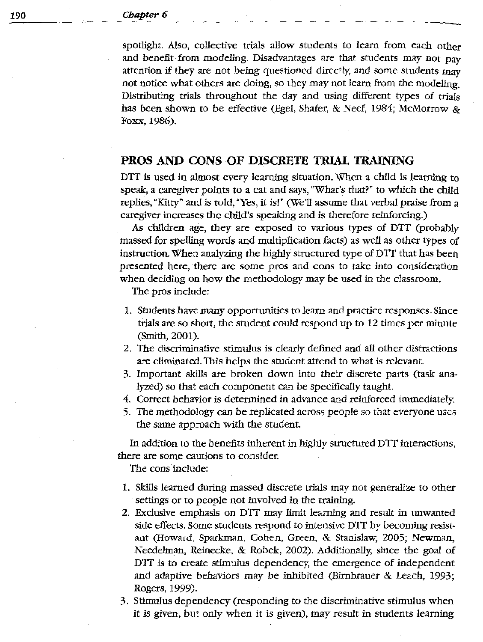spotlight. Also, collective trials allow students to learn from each other and benefit from modeling. Disadvantages are that students may not pay attention if they are not being questioned directly, and some students may not notice what others are doing, so they may not learn from the modeling. Distributing trials throughout the day and using different types of trials has been shown to be effective (Egel, Shafer, & Neef, 1984; McMorrow & Foxx, 1986).

# **PROS AND CONS OF DISCRETE TRIAL TRAINING**

DIT is used in almost every learning situation. When a child is learning to speak, a caregiver points to a cat and says, "What's that?" to which the child replies, "Kitty" and is told, "Yes, it is!" (We'll assume that verbal praise from a caregiver increases the child's speaking and is therefore reinforcing.)

As children age, they are exposed to various types of DIT (probably massed for spelling words and multiplication facts) as well as other types of instruction. When analyzing the highiy structured type of DIT that has been **presented here, there are some pros and cons to take into consideration**  when deciding on how the methodology may be used in the classroom.

The pros include:

- 1. Students have many opportunities to learn and practice responses. Since trials are so short, the student could respond up to 12 times per minute (Smith, 2001).
- 2. The discriminative stimulus is clearly defined and all other distractions are eliminated. This helps the student attend to what is relevant.
- 3. Important skills are broken down into their discrete parts (task analyzed) so that each component can be specifically taught.
- 4. Correct behavior is determined in advance and reinforced inunediately.
- **5. The methodology can be replicated across people so that everyone uses**  the same approach with the student.

1n addition to the benefits inherent in highly structured DIT interactions, **there are some cautions to consider.** 

The cons include:

- 1. Skills learned during massed discrete trials may not generalize to other settings or to people not involved in the training.
- 2. Exclusive emphasis on DIT may limit learning and result in unwanted side effects. Some students respond to intensive DIT by becoming resistant (Howard, Sparkman, Cohen, Green, & Stanislaw, 2005; Newman, Needelman, Reinecke, & Robek, 2002). Additionally, since the goal of DIT is to create stimulus dependency, the emergence of independent and adaptive behaviors may be inhibited (Birnbrauer & Leach, 1993; Rogers, 1999).
- 3. Stimulus dependency (responding to the discriminative stimulus when it is given, but only when it is given), may result in students learning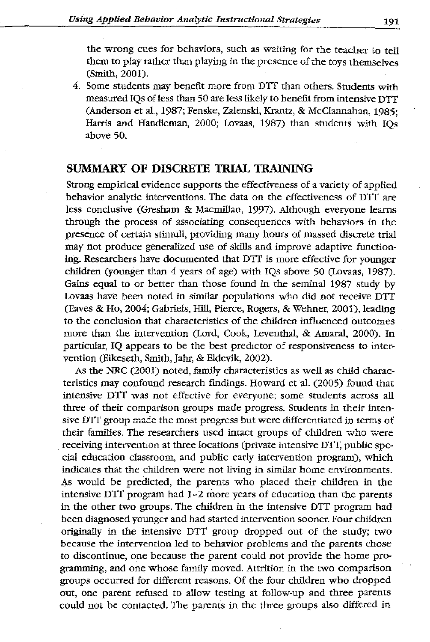**the wrong cues for behaviors, such as waiting for the teacher to tell**  them to play rather than playing in the presence of the toys themselves (Smith, 2001).

4. Some students may benefit more from DTT than others. Students with measured !Qs of less than 50 are less likely to benefit from intensive DTT (Anderson et al., 1987; Fenske, Zalenski, Krantz, & McCiannahan, 1985; Harris and Handleman, 2000; Lovaas, 1987) than students with IOs above 50.

# **SUMMARY OF DISCRETE TRIAL TRAINING**

Strong empirical evidence supports the effectiveness of a variety of applied behavior analytic interventions. The data on the effectiveness of DTT are less conclusive (Gresham & Macmillan, 1997). Although everyone learns through the process of associating consequences with behaviors in the presence of certain stimuli, providing many hours of massed discrete trial may not produce generalized use of skills and improve adaptive functioning. Researchers have documented that DTT is more effective for younger children (younger than 4 years of age) with !Qs above 50 (Lovaas, 1987). Gains equal to or better than those found in the seminal 1987 study by Lovaas have been noted in similar populations who did not receive DTT (Eaves & Ho, 2004; Gabriels, Hill, Pierce, Rogers, & Wehner, 2001), leading **to the conclusion that characteristics of the children influenced outcomes**  more than the intervention (Lord, Cook, Leventhal, & Amaral, 2000). In particular, IQ appears to be the best predictor of responsiveness to intervention (Eikeseth, Smith, Jahr, & Eldevik, 2002).

*As* the NRC (2001) noted, family characteristics as well as child characteristics may confound research findings. Howard et al. (2005) found that **intensive DTT was not effective for everyone; some students across all**  three of their comparison groups made progress. Students in their inten**sive DTT group made the most progress but were differentiated in terms of their families. The researchers used intact groups of children who were**  . **receiving intervention at three locations (private intensive DTT, public spe**cial education classroom, and public early intervention program), which **indicates that the children were not living in similar home environments.** As would be predicted, the parents who placed their children in the intensive DTT program had 1-2 more years of education than the parents in the other two groups. The children in the intensive DTT program had been diagnosed younger and had started intervention sooner. Four children originally in the intensive DTT group dropped out of the study; two **because the intervention led to behavior problems and the parents chose to discontinue, one because the parent could not provide the home pro**gramming, and one whose family moved. Attrition in the two comparison groups occurred for different reasons. Of the four children who dropped out, one parent refused to allow testing at follow-up and three parents could not be contacted. The parents in the three groups also differed in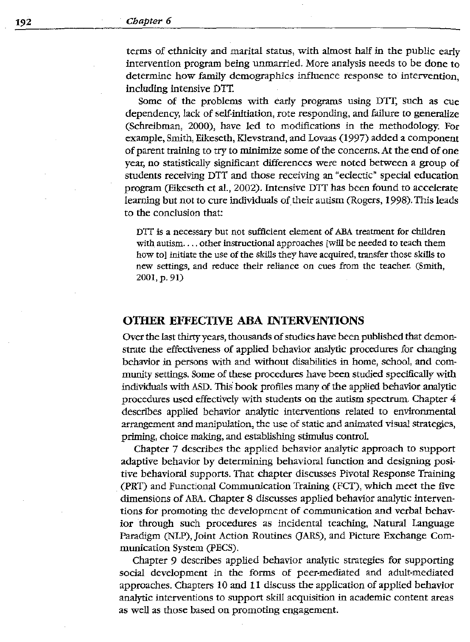terms of ethnicity and marital status, with almost half in the public early **intervention program being unmarried. More analysis needs to be done to**  determine how family demographics influence response to intervention, including intensive DTT.

Some of the problems with early programs using DTT, such as cue dependency, lack of self-initiation, rote responding, and failure to generalize (Schreibman, 2000), have led to modifications in the methodology. For example, Smith, Eikeseth, Klevstrand, and Lovaas (1997) added a component of parent training to try to minimize some of the concerns. At the end of one **year, no statistically significant differences were noted between a group of students receiving DTT and those receiving an "eclectic" special education**  program (Eikeseth et a!., 2002). Intensive DTT has been found to accelerate learning but not to cure individuals of their autism (Rogers, 1998). This leads to the conclusion that:

**DTI is a necessary but not sufficient element of ABA treatment for children**  with autism.... other instructional approaches [will be needed to teach them **how to 1 initiate the** *use* **of the skills they have acquired, transfer those skills to new settings, and reduce their reliance on cues from the teacher. (Smith,**  2001, p. 91)

#### **OTIIER EFFECTIVE ABA INTERVENTIONS**

Over the last thitty years, thousands of studies have been published that demonstrate the effectiveness of applied behavior analytic procedures for changing behavior in persons with and without disabilities in home, school, and community settings. Some of these procedures have been studied specifically with individuals with ASD. This book profiles many of the applied behavior analytic procedures used effectively with students on the autism spectrum. Chapter 4 desctibes applied behavior analytic interventions related to environmental arrangement and manipulation, the use of static and animated visual strategies, priming, choice making, and establishing stimulus control.

Chapter 7 describes the applied behavior analytic approach to support adaptive behavior by determining behavioral function and designing positive behavioral supports. That chapter discusses Pivotal Response Training (PRT) and Functional Communication Training (FCT), which meet the five dimensions of ABA. Chapter 8 discusses applied behavior analytic interventions for promoting the development of communication and verbal behavior through such procedures as incidental teaching, Natural Language Paradigm (NLP), Joint Action Routines (JARS), and Picture Exchange Communication System (PECS).

Chapter 9 describes applied behavior analytic strategies for supporting social development in the forms of peer-mediated and adult-mediated approaches. Chapters 10 and 11 discuss tbe application of applied behavior **analytic interventions to support skill acquisition in academic content areas**  as well as those based on promoting engagement.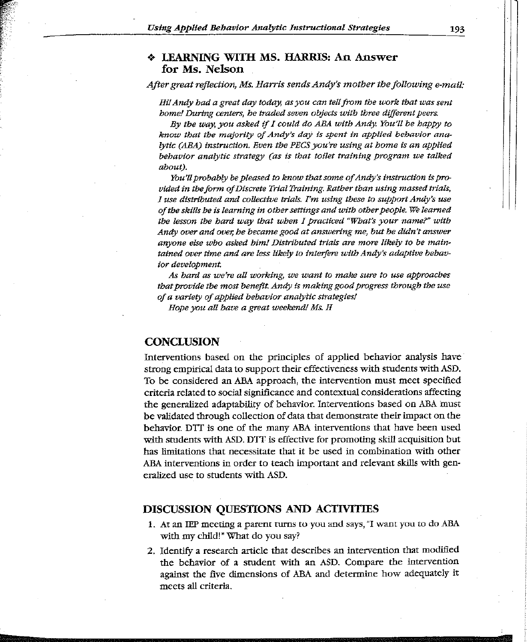# •> LEARNING WI1H MS. HARRIS: An Answer for Ms. Nelson

*After great reflection, Ms. Harris sends Andy's mother the following e-mail:* 

*Ht! Andy had a great day today, as you can tell from the work that was sent home! During centers, he traded seven objects with three different peers.* 

*By the way, you asked* if *I could do ABA with Andy. You'll be happy to*  know that the majority of Andy's day is spent in applied behavior ana*lytic (ABA) instruction. Even the PEGS you're using at home is an applied behavior analytic strategy (as is that toilet training program we talked about).* 

*You'll probably be pleased to know that some of Andy's instruction is provided* in *the form of Discrete Trial Training. Rather than using massed trials, I use distributed and collective trials. I'm using these to support Andy's use of the skills be is learning in other settings and with other people. We learned the lesson the bard way that when I practiced "What's your name?" with Andy over and over, he became good at answering me, but be didn't answer anyone else who asked him! Distributed trials are more likely to be main*tained over time and are less likely to interfere with Andy's adaptive behav*ior development.* 

*As hard as we're all working, we want to make sure to use approaches that provide the most benefit. Andy is making good progress through the use of a variety of applied behavior analytic strategies!* 

*Hope you all have a great weekend! Ms. H* 

# **CONCLUSION**

randa<br>1990 - Paul Barnett, papaisan<br>1990 - Paul Barnett, papaisan

J··· -

> Interventions based on the principles of applied behavior analysis have strong empirical data to support their effectiveness with students with ASD. To be considered an ABA approach, the intervention must meet specified criteria related to social significance and contextual considerations affecting the generalized adaptability of behavior. Interventions based on ABA must be validated through collection of data that demonstrate their impact on the behavior. DTT is one of the many ABA interventions that have been used with students with ASD. DIT is effective for promoting skill acquisition but has limitations that necessitate that it be used in combination with other ABA interventions in order to teach important and relevant skills with generalized use to students with ASD.

#### DISCUSSION QUESTIONS AND ACTIVITIES

- 1. At an IEP meeting a parent tums to you and says, "I want you to do ABA with my child!" What do you say?
- 2. Identify a research article that describes an intervention that modified the behavior of a student with an ASD. Compare the intervention against the five dimensions of ABA and determine how adequately it meets all criteria.

Jl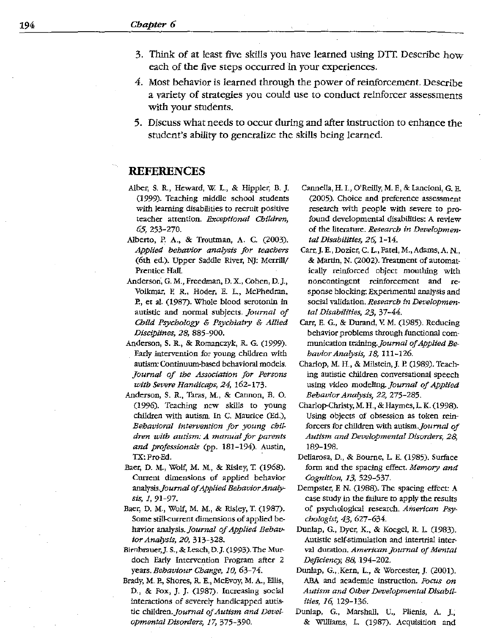- 3. Think of at least five skills you have learned using DTT. Describe  $h_{0}$ each of the five steps occurred in your experiences.
- 4. Most behavior is learned through the power of reinforcement. Describe a variety of strategies you could use to conduct reinforcer assessments with your students.
- 5. Discuss what needs to occur during and after instruction to enhance the student's ability to generalize the skills being learned.

# **REFERENCES**

- Alber; S. R, Heward, W. L., & Hippler, B. ]. (1999). Teaching middle school students with learning disabilities to recruit positive teacher attention. *Exceptional* Children, *65,* 253-270.
- Alberto, P. A., & Troutman, A. C. (2003). *Applied behavior analysis for teachers*  (6th ed.). Upper Saddle River, N]: Merrill/ Prentice Hall.
- Andersori, G. M., Freedman, D. X., Cohen, D.]., Volkmar, E R., Hoder, E. L., McPhedran, P., et al. (1987). Whole blood serotonin in autistic and normal subjects. *journal of*  Child Psychology & Psychiatry & Allied *Disciplines, 28,* 885-900.
- Anderson, S. R., & Romanczyk, R. G. (1999). Early intervention for young children with autism: Continuum·based behavioral models. *journal of the Association for Persons with Severe Handicaps,* 24,162-173.
- Anderson, S. R., Taras, M., & Cannon, B. O. (1996). Teaching new skills to young children with autism. In C. Maurice (Ed.), *Behavioral intervention for young chz'l· dren with autism: A manu'al for parents and professionals* (pp. 181-194). Austin, TX:Pro-Ed. .
- Baer, D. M., Wolf, M. M., & Risley, T. (1968). Current dimensions of applied behavior *analysis.journal of Applied Behavior Analysis,* 1, 91-97.
- Baer, D. M., Wolf, M. M., & Risley, T. (1987). Some still-current dimensions of applied be· havior analysis. *journal of Applied Behav*ior *Analysis, 20,* 313-328.
- Rirnbrnuer,J. S., & Leach, D.J. (1993). The Murdoch Early Intervention Program after 2 years. *Behaviour change,* 10, 63-74.
- Brady, M.P., Shores, R E., McEvoy, M.A., Ellis, D., & Fox,}. *].* (1987). Increasing social interactions of severely handicapped autistic children. *journal of Autism and Developmental Disorders, 17,* 375-390.
- Cannella, H. I., O'Reilly, M. E, & Lancioni, G. E. (2005). Choice and preference assessment research with people with severe to profound developmental disabilities: A review of the literarure. *Research in Developmen· tal Disabilities, 26,* 1-14.
- Carr,]. E., Dozier, C. L., Patel, M., Adams, A. N., & Martin, N. (2002). Treatment of automatically reinforced object mouthing with noncontingent reinforcement and response blocking: Experimental analysis and social validation, *Research in Developmental Disabilities, 23,* 37-44.
- Carr, E. G., & Durand, V. M. (1985). Reducing behavior problems through functional communication *training.journal of Applied Behavior Analyst's,* 18, 111-126.
- Charlop, M. H., & Milstein,]. P. (1989). Teaching autistic children conversational speech using video modeling. *journal of Applied Behavior Analysis, 22,* 275-285.
- Charlop-Christy, M. H., & Haymes, L. K. (1998). Using objects of obsession as token rein· forcers for children with *autism.journal of Autism and Developmental Disorders,* 28, 189-198.
- Dellarosa, D., & Bourne, L. E. (1985). Surface form and the spacing effect. *Memory and Cognition, 13,* 529-537.
- Dempster, F. N. (1988). The spacing effect: A case study in the failure to apply the results of psychological research. *Ainerican Psychologist,* 43, 627-634.
- Dunlap, G., Dyer, K., & Koegel, R L. (1983). Autistic self-stimulation and intertrial interval duration. *American journal of Mental Defldency,* 88, 194-202.
- Dunlap, G.,.Kern, L., & Worcester,]. (2001). ABA and academic instruction. Focus *on Autism and Other Developmental Disabilities, 16,* 129-136.
- Dunlap, G., Marshall, U., Plienis, A. J., & Williams, 1. (1987). Acquisition and